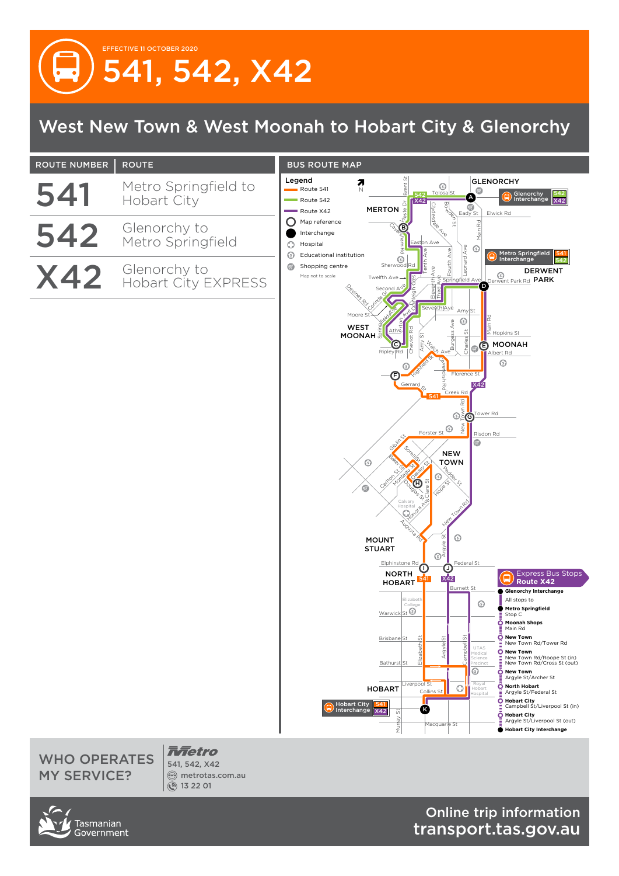## EFFECTIVE 11 OCTOBER 2020 541, 542, X42

## West New Town & West Moonah to Hobart City & Glenorchy



WHO OPERATES MY SERVICE?

*<u><del>Anetro</del></u>* 541, 542, X42 metrotas.com.au 13 22 01

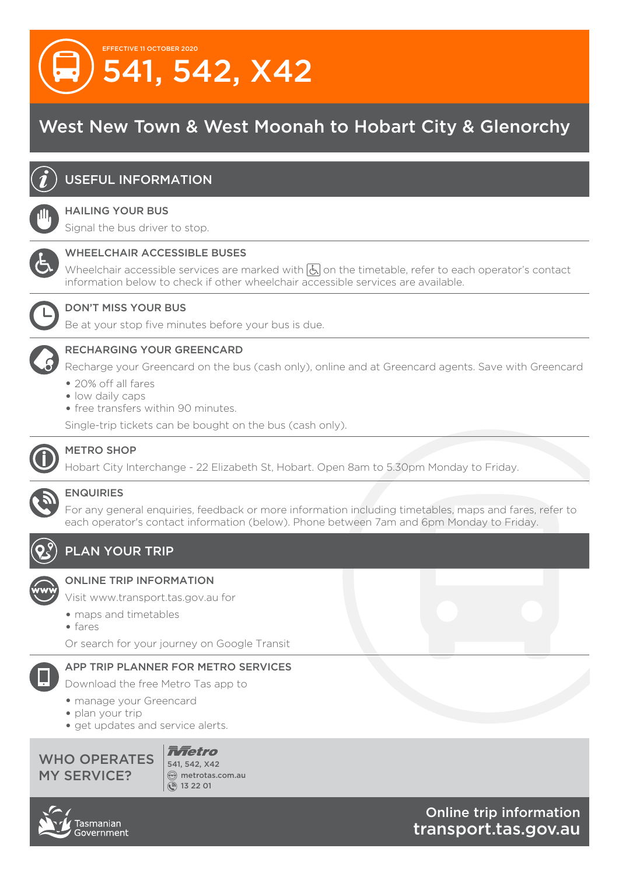

## West New Town & West Moonah to Hobart City & Glenorchy



#### USEFUL INFORMATION

#### HAILING YOUR BUS

Signal the bus driver to stop.



#### WHEELCHAIR ACCESSIBLE BUSES

Wheelchair accessible services are marked with  $\boxed{b}$  on the timetable, refer to each operator's contact information below to check if other wheelchair accessible services are available.



#### DON'T MISS YOUR BUS

Be at your stop five minutes before your bus is due.

#### RECHARGING YOUR GREENCARD

Recharge your Greencard on the bus (cash only), online and at Greencard agents. Save with Greencard

- 20% off all fares
- low daily caps
- free transfers within 90 minutes.

Single-trip tickets can be bought on the bus (cash only).



#### METRO SHOP

Hobart City Interchange - 22 Elizabeth St, Hobart. Open 8am to 5.30pm Monday to Friday.



#### ENQUIRIES

For any general enquiries, feedback or more information including timetables, maps and fares, refer to each operator's contact information (below). Phone between 7am and 6pm Monday to Friday.



#### PLAN YOUR TRIP



#### ONLINE TRIP INFORMATION

Visit www.transport.tas.gov.au for

- maps and timetables
- fares

Or search for your journey on Google Transit

#### APP TRIP PLANNER FOR METRO SERVICES

Download the free Metro Tas app to

- manage your Greencard
- plan your trip
- get updates and service alerts.



*Rfietro* 541, 542, X42  $\textcircled{m}$  metrotas.com.au ۞ 13 22 01

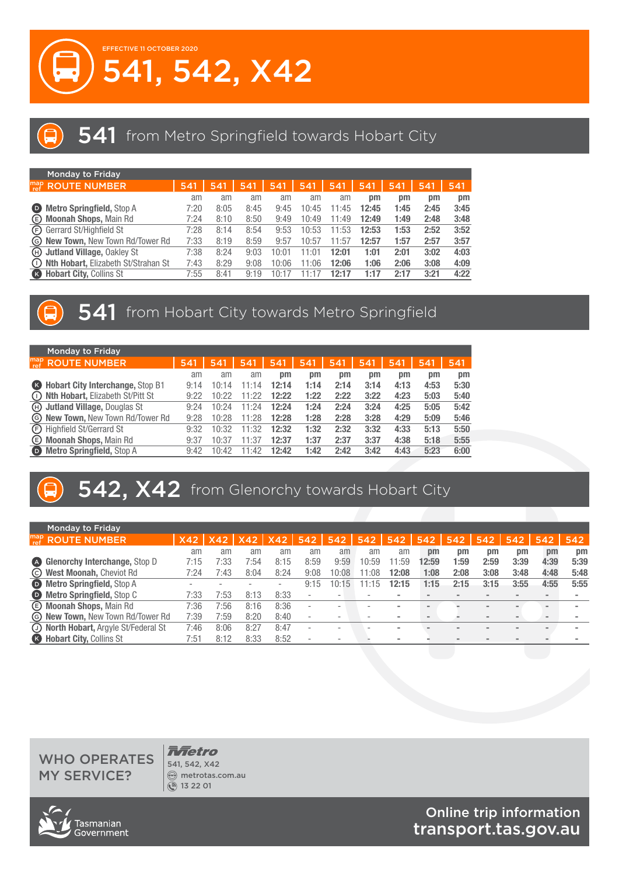



|              | <b>Monday to Friday</b>                 |      |      |      |       |       |       |       |      |      |      |
|--------------|-----------------------------------------|------|------|------|-------|-------|-------|-------|------|------|------|
| map<br>  ref | <b>ROUTE NUMBER</b>                     | 541  | 541  | 541  | 541   | 541   | 541   | 541   | 541  | 541  | 541  |
|              |                                         | am   | am   | am   | am    | am    | am    | pm    | pm   | pm   | pm   |
| $\bullet$    | <b>Metro Springfield, Stop A</b>        | 7:20 | 8:05 | 8:45 | 9:45  | 10:45 | 11:45 | 12:45 | 1:45 | 2:45 | 3:45 |
| $\circled$   | Moonah Shops, Main Rd                   | 7:24 | 8:10 | 8:50 | 9:49  | 10:49 | 11:49 | 12:49 | 1:49 | 2:48 | 3:48 |
|              | <b>E</b> Gerrard St/Highfield St        | 7:28 | 8:14 | 8:54 | 9:53  | 10:53 | 11:53 | 12:53 | 1:53 | 2:52 | 3:52 |
|              | <b>G New Town, New Town Rd/Tower Rd</b> | 7:33 | 8:19 | 8:59 | 9:57  | 10:57 | 11:57 | 12:57 | 1:57 | 2:57 | 3:57 |
| (H)          | <b>Jutland Village, Oakley St</b>       | 7:38 | 8:24 | 9:03 | 10:01 | 11:01 | 12:01 | 1:01  | 2:01 | 3:02 | 4:03 |
| $\cup$       | Nth Hobart, Elizabeth St/Strahan St     | 7:43 | 8:29 | 9:08 | 10:06 | 11:06 | 12:06 | 1:06  | 2:06 | 3:08 | 4:09 |
| $\bullet$    | <b>Hobart City, Collins St</b>          | 7:55 | 8:41 | 9:19 | 10:1  | 11·1  | 12:17 | 1:17  | 2:17 | 3:21 | 4:22 |

### 541 from Hobart City towards Metro Springfield

| <b>Monday to Friday</b>                   |                                            |       |       |       |      |      |      |      |      |      |
|-------------------------------------------|--------------------------------------------|-------|-------|-------|------|------|------|------|------|------|
| <b>ROUTE NUMBER</b>                       | 541                                        | 541   | 541   | 541   | 541  | 541  | 541  | 541  | 541  | 541  |
|                                           | am                                         | am    | am    | pm    | pm   | pm   | pm   | pm   | pm   | pm   |
| <b>B</b> Hobart City Interchange, Stop B1 | 9:14                                       | 10:14 | 11:14 | 12:14 | 1:14 | 2:14 | 3:14 | 4:13 | 4:53 | 5:30 |
|                                           | 9:22                                       | 10:22 | 11:22 | 12:22 | 1:22 | 2:22 | 3:22 | 4:23 | 5:03 | 5:40 |
| He Jutland Village, Douglas St            | 9:24                                       | 10:24 | 11:24 | 12:24 | 1:24 | 2:24 | 3:24 | 4:25 | 5:05 | 5:42 |
| <b>G New Town, New Town Rd/Tower Rd</b>   | 9:28                                       | 10:28 | 11:28 | 12:28 | 1:28 | 2:28 | 3:28 | 4:29 | 5:09 | 5:46 |
| <b>E</b> Highfield St/Gerrard St          | 9:32                                       | 10:32 | 11:32 | 12:32 | 1:32 | 2:32 | 3:32 | 4:33 | 5:13 | 5:50 |
| <b>E</b> Moonah Shops, Main Rd            | 9:37                                       | 10:37 | 11:37 | 12:37 | 1:37 | 2:37 | 3:37 | 4:38 | 5:18 | 5:55 |
| <b>Metro Springfield, Stop A</b>          | 9:42                                       | 10:42 | 11:42 | 12:42 | 1:42 | 2:42 | 3:42 | 4:43 | 5:23 | 6:00 |
|                                           | <b>ID Nth Hobart, Elizabeth St/Pitt St</b> |       |       |       |      |      |      |      |      |      |

# 542, X42 from Glenorchy towards Hobart City

|           | <b>Monday to Friday</b>                 |      |      |      |            |                          |       |       |       |                |             |      |      |      |             |
|-----------|-----------------------------------------|------|------|------|------------|--------------------------|-------|-------|-------|----------------|-------------|------|------|------|-------------|
|           | $\int_{ref}^{map}$ ROUTE NUMBER         | X42  | X42  | X42  | <b>X42</b> | 542                      | 542   | 542   | 542   | 542            | 542         | 542  | 542  | 542  | 542         |
|           |                                         | am   | am   | am   | am         | am                       | am    | am    | am    | $_{\text{nm}}$ | $_{\rm pm}$ | pm   | pm   | pm   | $_{\rm pm}$ |
| <b>A</b>  | <b>Glenorchy Interchange, Stop D</b>    | 7:15 | 7:33 | 7:54 | 8:15       | 8:59                     | 9:59  | 10:59 | 1:59  | 12:59          | 1:59        | 2:59 | 3:39 | 4:39 | 5:39        |
|           | © West Moonah, Cheviot Rd               | 7:24 | 7:43 | 8:04 | 8:24       | 9:08                     | 0:08  | 1:08  | 12:08 | 1:08           | 2:08        | 3:08 | 3:48 | 4:48 | 5:48        |
|           | <b>D</b> Metro Springfield, Stop A      |      |      | -    | ۰          | 9:15                     | 10:15 | 11:15 | 12:15 | 1:15           | 2:15        | 3:15 | 3:55 | 4:55 | 5:55        |
|           | <b>D</b> Metro Springfield, Stop C      | 7:33 | 7:53 | 8:13 | 8:33       | $\sim$                   |       |       |       |                |             |      |      |      |             |
|           | <b>E</b> Moonah Shops, Main Rd          | 7:36 | 7:56 | 8:16 | 8:36       | $\sim$                   |       |       |       |                |             |      |      |      |             |
|           | <b>G New Town, New Town Rd/Tower Rd</b> | 7:39 | 7:59 | 8:20 | 8:40       | $\overline{\phantom{a}}$ |       |       |       |                |             |      |      |      |             |
|           | (J) North Hobart, Argyle St/Federal St  | 7:46 | 8:06 | 8:27 | 8:47       | $\sim$                   |       |       |       |                |             |      |      |      |             |
| $\bullet$ | <b>Hobart City, Collins St</b>          | 7:51 | 8:12 | 8:33 | 8:52       |                          |       |       |       |                |             |      |      |      |             |

#### WHO OPERATES MY SERVICE?

*<u><del>Antetro</del></u>* 541, 542, X42 metrotas.com.au 13 22 01